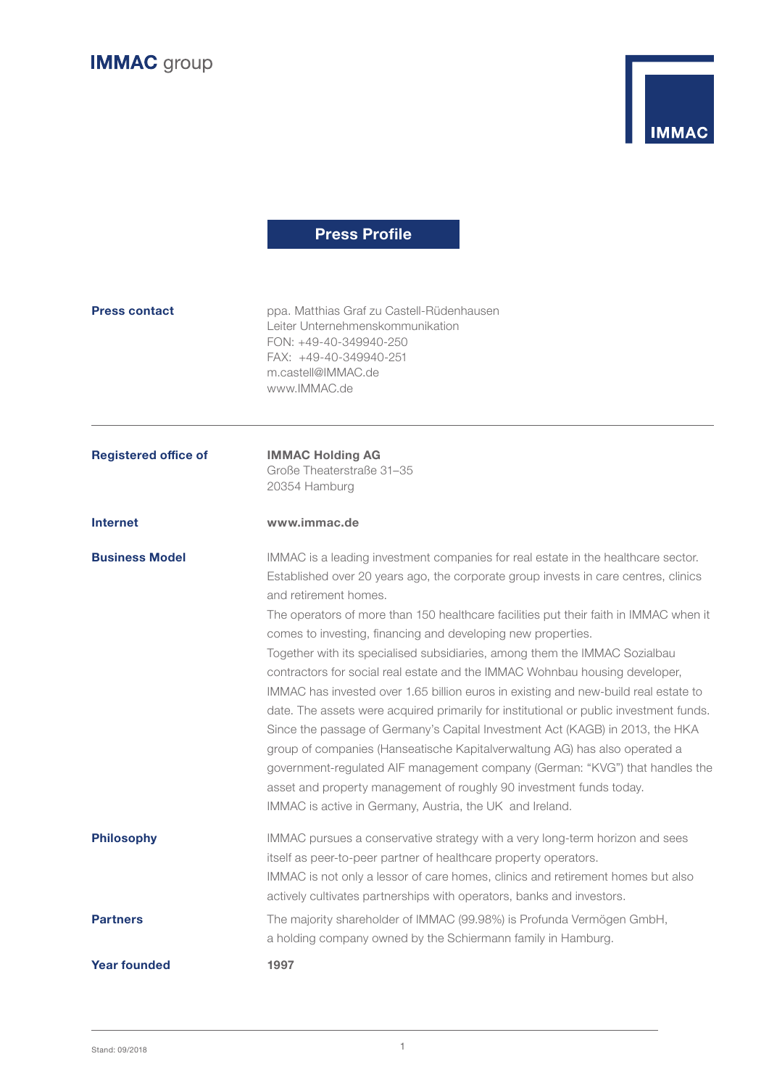



# **Press Profile**

| <b>Press contact</b>        | ppa. Matthias Graf zu Castell-Rüdenhausen<br>Leiter Unternehmenskommunikation<br>FON: +49-40-349940-250<br>FAX: +49-40-349940-251<br>m.castell@IMMAC.de<br>www.IMMAC.de                                                                                                                                                                                                                                                                                                                                                                                                                                                                                                                                                                                                                                                                                                                                                                                                                                                                                                                    |
|-----------------------------|--------------------------------------------------------------------------------------------------------------------------------------------------------------------------------------------------------------------------------------------------------------------------------------------------------------------------------------------------------------------------------------------------------------------------------------------------------------------------------------------------------------------------------------------------------------------------------------------------------------------------------------------------------------------------------------------------------------------------------------------------------------------------------------------------------------------------------------------------------------------------------------------------------------------------------------------------------------------------------------------------------------------------------------------------------------------------------------------|
| <b>Registered office of</b> | <b>IMMAC Holding AG</b><br>Große Theaterstraße 31-35<br>20354 Hamburg                                                                                                                                                                                                                                                                                                                                                                                                                                                                                                                                                                                                                                                                                                                                                                                                                                                                                                                                                                                                                      |
| <b>Internet</b>             | www.immac.de                                                                                                                                                                                                                                                                                                                                                                                                                                                                                                                                                                                                                                                                                                                                                                                                                                                                                                                                                                                                                                                                               |
| <b>Business Model</b>       | IMMAC is a leading investment companies for real estate in the healthcare sector.<br>Established over 20 years ago, the corporate group invests in care centres, clinics<br>and retirement homes.<br>The operators of more than 150 healthcare facilities put their faith in IMMAC when it<br>comes to investing, financing and developing new properties.<br>Together with its specialised subsidiaries, among them the IMMAC Sozialbau<br>contractors for social real estate and the IMMAC Wohnbau housing developer,<br>IMMAC has invested over 1.65 billion euros in existing and new-build real estate to<br>date. The assets were acquired primarily for institutional or public investment funds.<br>Since the passage of Germany's Capital Investment Act (KAGB) in 2013, the HKA<br>group of companies (Hanseatische Kapitalverwaltung AG) has also operated a<br>government-regulated AIF management company (German: "KVG") that handles the<br>asset and property management of roughly 90 investment funds today.<br>IMMAC is active in Germany, Austria, the UK and Ireland. |
| <b>Philosophy</b>           | IMMAC pursues a conservative strategy with a very long-term horizon and sees<br>itself as peer-to-peer partner of healthcare property operators.<br>IMMAC is not only a lessor of care homes, clinics and retirement homes but also<br>actively cultivates partnerships with operators, banks and investors.                                                                                                                                                                                                                                                                                                                                                                                                                                                                                                                                                                                                                                                                                                                                                                               |
| <b>Partners</b>             | The majority shareholder of IMMAC (99.98%) is Profunda Vermögen GmbH,<br>a holding company owned by the Schiermann family in Hamburg.                                                                                                                                                                                                                                                                                                                                                                                                                                                                                                                                                                                                                                                                                                                                                                                                                                                                                                                                                      |
| <b>Year founded</b>         | 1997                                                                                                                                                                                                                                                                                                                                                                                                                                                                                                                                                                                                                                                                                                                                                                                                                                                                                                                                                                                                                                                                                       |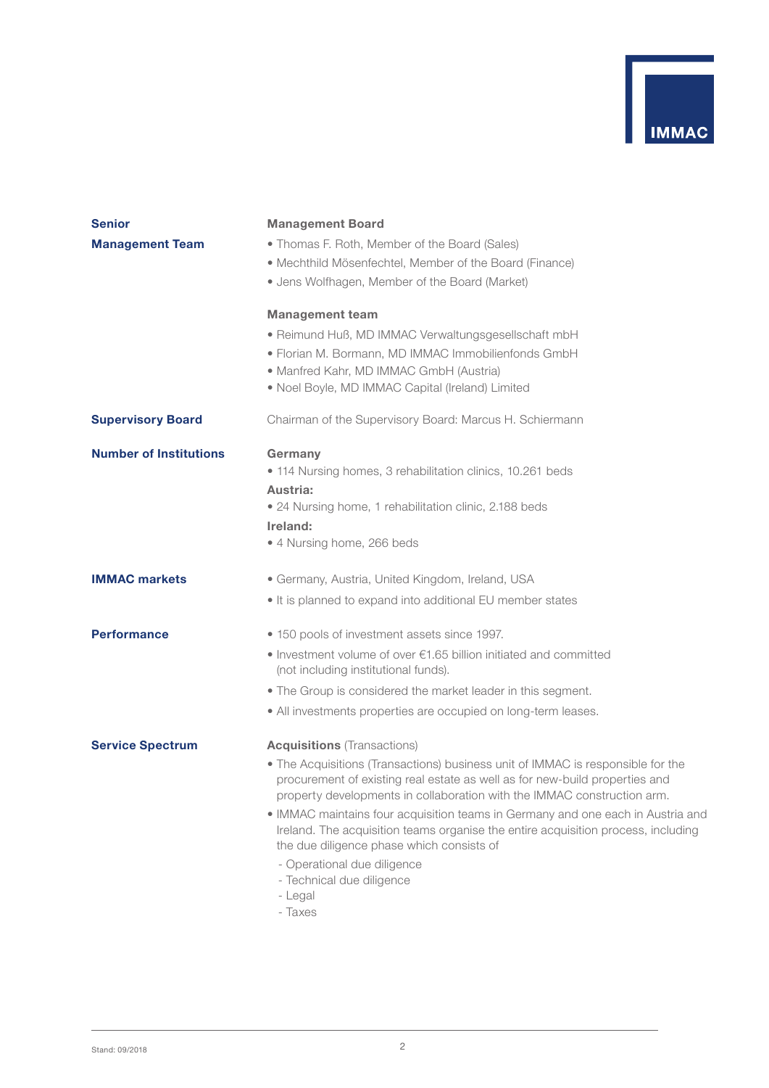

| <b>Senior</b>                 | <b>Management Board</b>                                                                                                                                                                                                                   |
|-------------------------------|-------------------------------------------------------------------------------------------------------------------------------------------------------------------------------------------------------------------------------------------|
| <b>Management Team</b>        | • Thomas F. Roth, Member of the Board (Sales)<br>• Mechthild Mösenfechtel, Member of the Board (Finance)<br>· Jens Wolfhagen, Member of the Board (Market)                                                                                |
|                               | <b>Management team</b>                                                                                                                                                                                                                    |
|                               | · Reimund Huß, MD IMMAC Verwaltungsgesellschaft mbH<br>• Florian M. Bormann, MD IMMAC Immobilienfonds GmbH<br>• Manfred Kahr, MD IMMAC GmbH (Austria)<br>• Noel Boyle, MD IMMAC Capital (Ireland) Limited                                 |
| <b>Supervisory Board</b>      | Chairman of the Supervisory Board: Marcus H. Schiermann                                                                                                                                                                                   |
| <b>Number of Institutions</b> | Germany<br>• 114 Nursing homes, 3 rehabilitation clinics, 10.261 beds<br>Austria:<br>• 24 Nursing home, 1 rehabilitation clinic, 2.188 beds<br>Ireland:                                                                                   |
|                               | • 4 Nursing home, 266 beds                                                                                                                                                                                                                |
| <b>IMMAC markets</b>          | · Germany, Austria, United Kingdom, Ireland, USA<br>• It is planned to expand into additional EU member states                                                                                                                            |
| <b>Performance</b>            | • 150 pools of investment assets since 1997.                                                                                                                                                                                              |
|                               | • Investment volume of over $\epsilon$ 1.65 billion initiated and committed<br>(not including institutional funds).                                                                                                                       |
|                               | • The Group is considered the market leader in this segment.                                                                                                                                                                              |
|                               | • All investments properties are occupied on long-term leases.                                                                                                                                                                            |
| <b>Service Spectrum</b>       | <b>Acquisitions</b> (Transactions)                                                                                                                                                                                                        |
|                               | • The Acquisitions (Transactions) business unit of IMMAC is responsible for the<br>procurement of existing real estate as well as for new-build properties and<br>property developments in collaboration with the IMMAC construction arm. |
|                               | • IMMAC maintains four acquisition teams in Germany and one each in Austria and<br>Ireland. The acquisition teams organise the entire acquisition process, including<br>the due diligence phase which consists of                         |
|                               | - Operational due diligence<br>- Technical due diligence<br>- Legal<br>- Taxes                                                                                                                                                            |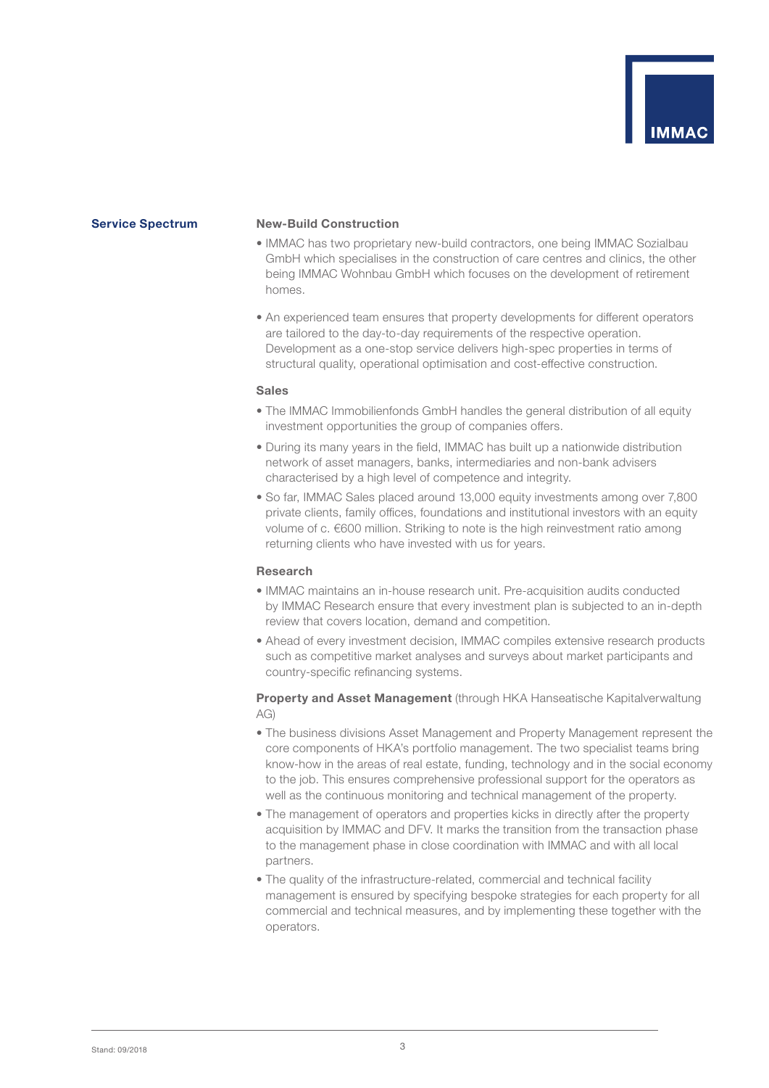

#### **Service Spectrum New-Build Construction**

- IMMAC has two proprietary new-build contractors, one being IMMAC Sozialbau GmbH which specialises in the construction of care centres and clinics, the other being IMMAC Wohnbau GmbH which focuses on the development of retirement homes.
- An experienced team ensures that property developments for different operators are tailored to the day-to-day requirements of the respective operation. Development as a one-stop service delivers high-spec properties in terms of structural quality, operational optimisation and cost-effective construction.

#### **Sales**

- The IMMAC Immobilienfonds GmbH handles the general distribution of all equity investment opportunities the group of companies offers.
- During its many years in the field, IMMAC has built up a nationwide distribution network of asset managers, banks, intermediaries and non-bank advisers characterised by a high level of competence and integrity.
- So far, IMMAC Sales placed around 13,000 equity investments among over 7,800 private clients, family offices, foundations and institutional investors with an equity volume of c. €600 million. Striking to note is the high reinvestment ratio among returning clients who have invested with us for years.

#### **Research**

- IMMAC maintains an in-house research unit. Pre-acquisition audits conducted by IMMAC Research ensure that every investment plan is subjected to an in-depth review that covers location, demand and competition.
- Ahead of every investment decision, IMMAC compiles extensive research products such as competitive market analyses and surveys about market participants and country-specific refinancing systems.

### **Property and Asset Management** (through HKA Hanseatische Kapitalverwaltung AG)

- The business divisions Asset Management and Property Management represent the core components of HKA's portfolio management. The two specialist teams bring know-how in the areas of real estate, funding, technology and in the social economy to the job. This ensures comprehensive professional support for the operators as well as the continuous monitoring and technical management of the property.
- The management of operators and properties kicks in directly after the property acquisition by IMMAC and DFV. It marks the transition from the transaction phase to the management phase in close coordination with IMMAC and with all local partners.
- The quality of the infrastructure-related, commercial and technical facility management is ensured by specifying bespoke strategies for each property for all commercial and technical measures, and by implementing these together with the operators.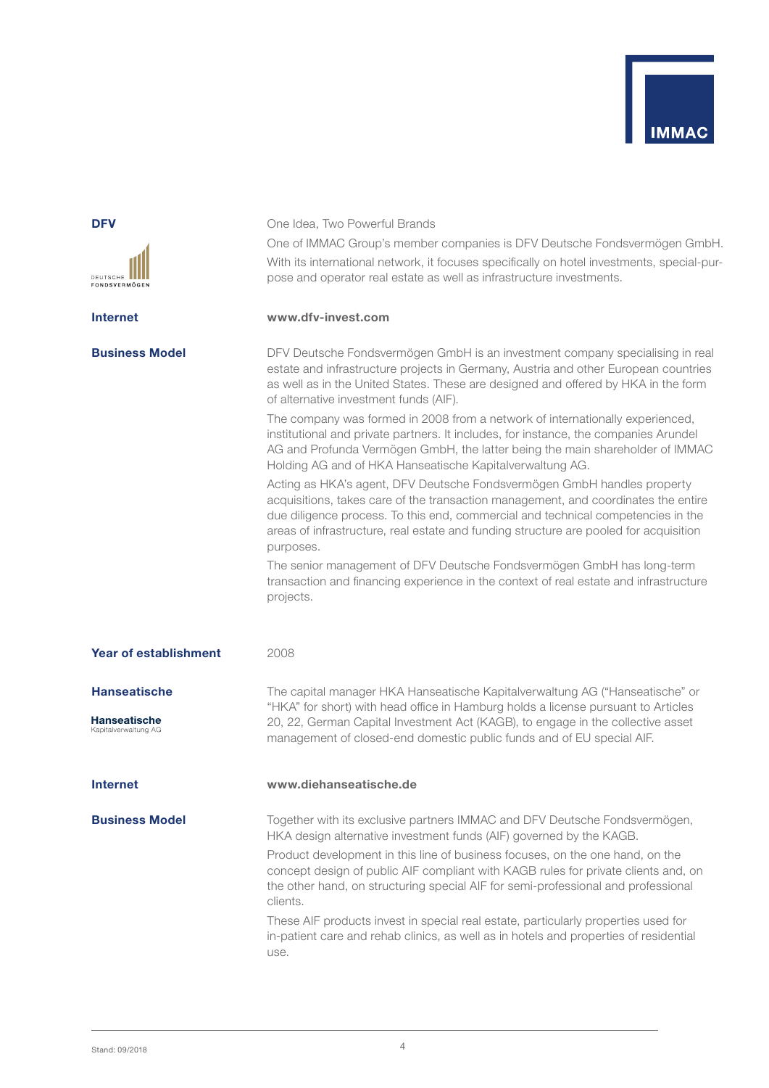

| DEUTSCHE<br>FONDSVERMÖGEN                   | One of IMMAC Group's member companies is DFV Deutsche Fondsvermögen GmbH.<br>With its international network, it focuses specifically on hotel investments, special-pur-<br>pose and operator real estate as well as infrastructure investments.                                                                                                         |
|---------------------------------------------|---------------------------------------------------------------------------------------------------------------------------------------------------------------------------------------------------------------------------------------------------------------------------------------------------------------------------------------------------------|
| <b>Internet</b>                             | www.dfv-invest.com                                                                                                                                                                                                                                                                                                                                      |
| <b>Business Model</b>                       | DFV Deutsche Fondsvermögen GmbH is an investment company specialising in real<br>estate and infrastructure projects in Germany, Austria and other European countries<br>as well as in the United States. These are designed and offered by HKA in the form<br>of alternative investment funds (AIF).                                                    |
|                                             | The company was formed in 2008 from a network of internationally experienced,<br>institutional and private partners. It includes, for instance, the companies Arundel<br>AG and Profunda Vermögen GmbH, the latter being the main shareholder of IMMAC<br>Holding AG and of HKA Hanseatische Kapitalverwaltung AG.                                      |
|                                             | Acting as HKA's agent, DFV Deutsche Fondsvermögen GmbH handles property<br>acquisitions, takes care of the transaction management, and coordinates the entire<br>due diligence process. To this end, commercial and technical competencies in the<br>areas of infrastructure, real estate and funding structure are pooled for acquisition<br>purposes. |
|                                             | The senior management of DFV Deutsche Fondsvermögen GmbH has long-term<br>transaction and financing experience in the context of real estate and infrastructure<br>projects.                                                                                                                                                                            |
| <b>Year of establishment</b>                | 2008                                                                                                                                                                                                                                                                                                                                                    |
| <b>Hanseatische</b>                         | The capital manager HKA Hanseatische Kapitalverwaltung AG ("Hanseatische" or<br>"HKA" for short) with head office in Hamburg holds a license pursuant to Articles                                                                                                                                                                                       |
| <b>Hanseatische</b><br>Kapitalverwaltung AG | 20, 22, German Capital Investment Act (KAGB), to engage in the collective asset<br>management of closed-end domestic public funds and of EU special AIF.                                                                                                                                                                                                |
| <b>Internet</b>                             | www.diehanseatische.de                                                                                                                                                                                                                                                                                                                                  |
| <b>Business Model</b>                       | Together with its exclusive partners IMMAC and DFV Deutsche Fondsvermögen,<br>HKA design alternative investment funds (AIF) governed by the KAGB.                                                                                                                                                                                                       |
|                                             | Product development in this line of business focuses, on the one hand, on the<br>concept design of public AIF compliant with KAGB rules for private clients and, on<br>the other hand, on structuring special AIF for semi-professional and professional<br>clients.                                                                                    |
|                                             | These AIF products invest in special real estate, particularly properties used for<br>in-patient care and rehab clinics, as well as in hotels and properties of residential<br>use.                                                                                                                                                                     |

One Idea, Two Powerful Brands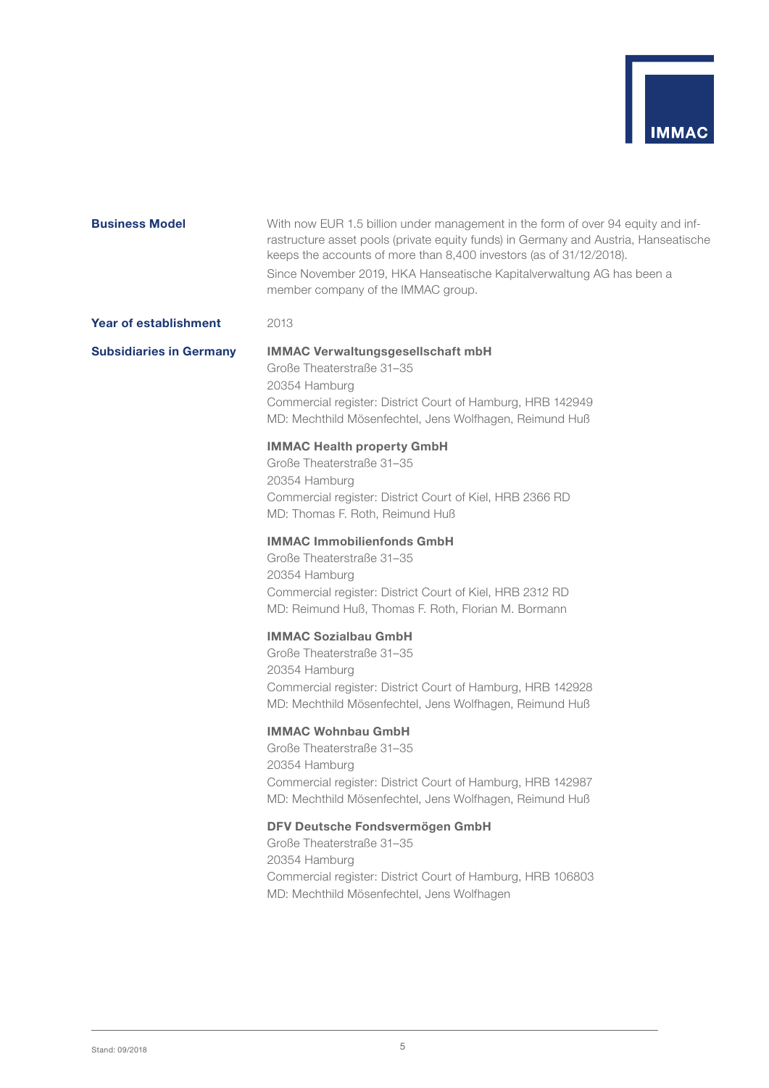

| <b>Business Model</b>          | With now EUR 1.5 billion under management in the form of over 94 equity and inf-<br>rastructure asset pools (private equity funds) in Germany and Austria, Hanseatische<br>keeps the accounts of more than 8,400 investors (as of 31/12/2018).<br>Since November 2019, HKA Hanseatische Kapitalverwaltung AG has been a<br>member company of the IMMAC group. |
|--------------------------------|---------------------------------------------------------------------------------------------------------------------------------------------------------------------------------------------------------------------------------------------------------------------------------------------------------------------------------------------------------------|
| <b>Year of establishment</b>   | 2013                                                                                                                                                                                                                                                                                                                                                          |
| <b>Subsidiaries in Germany</b> | <b>IMMAC Verwaltungsgesellschaft mbH</b><br>Große Theaterstraße 31-35<br>20354 Hamburg<br>Commercial register: District Court of Hamburg, HRB 142949<br>MD: Mechthild Mösenfechtel, Jens Wolfhagen, Reimund Huß                                                                                                                                               |
|                                | <b>IMMAC Health property GmbH</b><br>Große Theaterstraße 31-35<br>20354 Hamburg<br>Commercial register: District Court of Kiel, HRB 2366 RD<br>MD: Thomas F. Roth, Reimund Huß                                                                                                                                                                                |
|                                | <b>IMMAC Immobilienfonds GmbH</b><br>Große Theaterstraße 31–35<br>20354 Hamburg<br>Commercial register: District Court of Kiel, HRB 2312 RD<br>MD: Reimund Huß, Thomas F. Roth, Florian M. Bormann                                                                                                                                                            |
|                                | <b>IMMAC Sozialbau GmbH</b><br>Große Theaterstraße 31–35<br>20354 Hamburg<br>Commercial register: District Court of Hamburg, HRB 142928<br>MD: Mechthild Mösenfechtel, Jens Wolfhagen, Reimund Huß                                                                                                                                                            |
|                                | <b>IMMAC Wohnbau GmbH</b><br>Große Theaterstraße 31-35<br>20354 Hamburg<br>Commercial register: District Court of Hamburg, HRB 142987<br>MD: Mechthild Mösenfechtel, Jens Wolfhagen, Reimund Huß                                                                                                                                                              |
|                                | DFV Deutsche Fondsvermögen GmbH<br>Große Theaterstraße 31-35<br>20354 Hamburg<br>Commercial register: District Court of Hamburg, HRB 106803<br>MD: Mechthild Mösenfechtel, Jens Wolfhagen                                                                                                                                                                     |